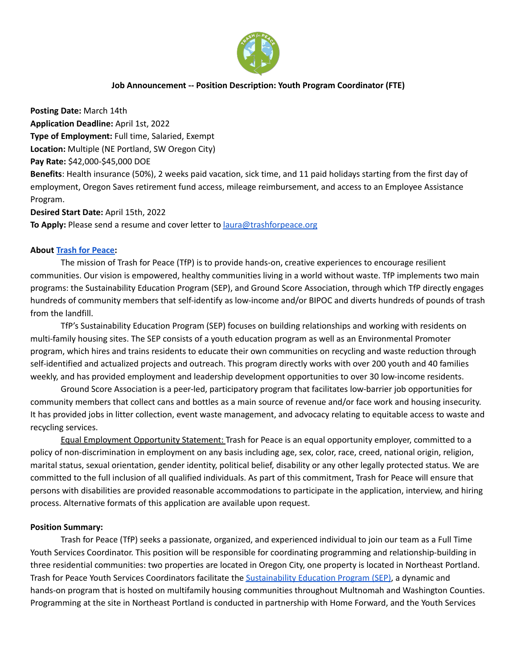

### **Job Announcement -- Position Description: Youth Program Coordinator (FTE)**

**Posting Date:** March 14th **Application Deadline:** April 1st, 2022 **Type of Employment:** Full time, Salaried, Exempt **Location:** Multiple (NE Portland, SW Oregon City) **Pay Rate:** \$42,000-\$45,000 DOE **Benefits**: Health insurance (50%), 2 weeks paid vacation, sick time, and 11 paid holidays starting from the first day of employment, Oregon Saves retirement fund access, mileage reimbursement, and access to an Employee Assistance Program.

**Desired Start Date:** April 15th, 2022 **To Apply:** Please send a resume and cover letter to [laura@trashforpeace.org](mailto:laura@trashforpeace.org)

#### **About Trash for [Peace:](https://www.trashforpeace.org/)**

The mission of Trash for Peace (TfP) is to provide hands-on, creative experiences to encourage resilient communities. Our vision is empowered, healthy communities living in a world without waste. TfP implements two main programs: the Sustainability Education Program (SEP), and Ground Score Association, through which TfP directly engages hundreds of community members that self-identify as low-income and/or BIPOC and diverts hundreds of pounds of trash from the landfill.

TfP's Sustainability Education Program (SEP) focuses on building relationships and working with residents on multi-family housing sites. The SEP consists of a youth education program as well as an Environmental Promoter program, which hires and trains residents to educate their own communities on recycling and waste reduction through self-identified and actualized projects and outreach. This program directly works with over 200 youth and 40 families weekly, and has provided employment and leadership development opportunities to over 30 low-income residents.

Ground Score Association is a peer-led, participatory program that facilitates low-barrier job opportunities for community members that collect cans and bottles as a main source of revenue and/or face work and housing insecurity. It has provided jobs in litter collection, event waste management, and advocacy relating to equitable access to waste and recycling services.

Equal Employment Opportunity Statement: Trash for Peace is an equal opportunity employer, committed to a policy of non-discrimination in employment on any basis including age, sex, color, race, creed, national origin, religion, marital status, sexual orientation, gender identity, political belief, disability or any other legally protected status. We are committed to the full inclusion of all qualified individuals. As part of this commitment, Trash for Peace will ensure that persons with disabilities are provided reasonable accommodations to participate in the application, interview, and hiring process. Alternative formats of this application are available upon request.

#### **Position Summary:**

Trash for Peace (TfP) seeks a passionate, organized, and experienced individual to join our team as a Full Time Youth Services Coordinator. This position will be responsible for coordinating programming and relationship-building in three residential communities: two properties are located in Oregon City, one property is located in Northeast Portland. Trash for Peace Youth Services Coordinators facilitate the [Sustainability](https://www.trashforpeace.org/sustainability-education-program) Education Program (SEP), a dynamic and hands-on program that is hosted on multifamily housing communities throughout Multnomah and Washington Counties. Programming at the site in Northeast Portland is conducted in partnership with Home Forward, and the Youth Services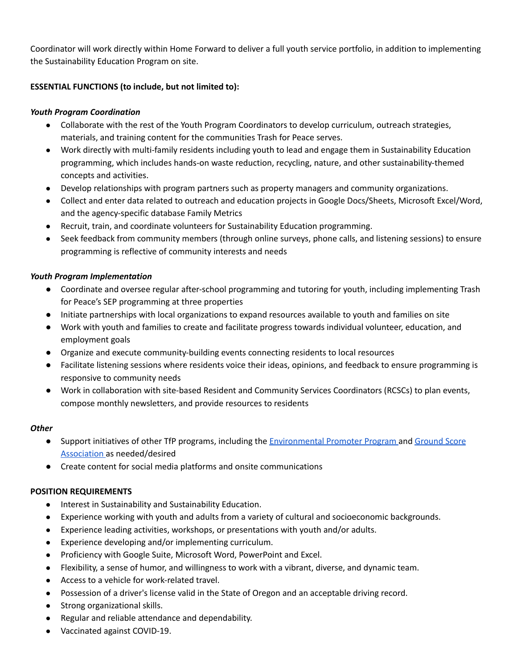Coordinator will work directly within Home Forward to deliver a full youth service portfolio, in addition to implementing the Sustainability Education Program on site.

# **ESSENTIAL FUNCTIONS (to include, but not limited to):**

# *Youth Program Coordination*

- Collaborate with the rest of the Youth Program Coordinators to develop curriculum, outreach strategies, materials, and training content for the communities Trash for Peace serves.
- Work directly with multi-family residents including youth to lead and engage them in Sustainability Education programming, which includes hands-on waste reduction, recycling, nature, and other sustainability-themed concepts and activities.
- Develop relationships with program partners such as property managers and community organizations.
- Collect and enter data related to outreach and education projects in Google Docs/Sheets, Microsoft Excel/Word, and the agency-specific database Family Metrics
- Recruit, train, and coordinate volunteers for Sustainability Education programming.
- Seek feedback from community members (through online surveys, phone calls, and listening sessions) to ensure programming is reflective of community interests and needs

# *Youth Program Implementation*

- Coordinate and oversee regular after-school programming and tutoring for youth, including implementing Trash for Peace's SEP programming at three properties
- Initiate partnerships with local organizations to expand resources available to youth and families on site
- Work with youth and families to create and facilitate progress towards individual volunteer, education, and employment goals
- Organize and execute community-building events connecting residents to local resources
- Facilitate listening sessions where residents voice their ideas, opinions, and feedback to ensure programming is responsive to community needs
- Work in collaboration with site-based Resident and Community Services Coordinators (RCSCs) to plan events, compose monthly newsletters, and provide resources to residents

# *Other*

- Support initiatives of other TfP programs, including the [Environmental](https://www.trashforpeace.org/environmental-promoter-program) Promoter Program and [Ground](https://www.trashforpeace.org/ground-score) Score [Association](https://www.trashforpeace.org/ground-score) as needed/desired
- Create content for social media platforms and onsite communications

# **POSITION REQUIREMENTS**

- Interest in Sustainability and Sustainability Education.
- Experience working with youth and adults from a variety of cultural and socioeconomic backgrounds.
- Experience leading activities, workshops, or presentations with youth and/or adults.
- Experience developing and/or implementing curriculum.
- Proficiency with Google Suite, Microsoft Word, PowerPoint and Excel.
- Flexibility, a sense of humor, and willingness to work with a vibrant, diverse, and dynamic team.
- Access to a vehicle for work-related travel.
- Possession of a driver's license valid in the State of Oregon and an acceptable driving record.
- Strong organizational skills.
- Regular and reliable attendance and dependability.
- Vaccinated against COVID-19.